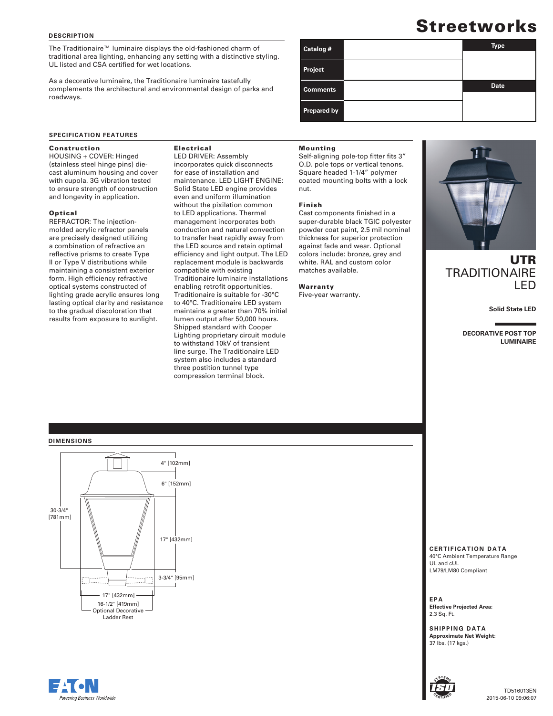#### **DESCRIPTION**

The Traditionaire™ luminaire displays the old-fashioned charm of traditional area lighting, enhancing any setting with a distinctive styling. UL listed and CSA certified for wet locations.

As a decorative luminaire, the Traditionaire luminaire tastefully complements the architectural and environmental design of parks and roadways.

## **SPECIFICATION FEATURES**

### Construction

HOUSING + COVER: Hinged (stainless steel hinge pins) diecast aluminum housing and cover with cupola. 3G vibration tested to ensure strength of construction and longevity in application.

## Optical

REFRACTOR: The injectionmolded acrylic refractor panels are precisely designed utilizing a combination of refractive an reflective prisms to create Type II or Type V distributions while maintaining a consistent exterior form. High efficiency refractive optical systems constructed of lighting grade acrylic ensures long lasting optical clarity and resistance to the gradual discoloration that results from exposure to sunlight.

# Electrical

LED DRIVER: Assembly incorporates quick disconnects for ease of installation and maintenance. LED LIGHT ENGINE: Solid State LED engine provides even and uniform illumination without the pixilation common to LED applications. Thermal management incorporates both conduction and natural convection to transfer heat rapidly away from the LED source and retain optimal efficiency and light output. The LED replacement module is backwards compatible with existing Traditionaire luminaire installations enabling retrofit opportunities. Traditionaire is suitable for -30°C to 40°C. Traditionaire LED system maintains a greater than 70% initial lumen output after 50,000 hours. Shipped standard with Cooper Lighting proprietary circuit module to withstand 10kV of transient line surge. The Traditionaire LED system also includes a standard three postition tunnel type compression terminal block.

# **Prepared by**

**Catalog # Type** 

Mounting

**Project** 

**Comments** 

Self-aligning pole-top fitter fits 3" O.D. pole tops or vertical tenons. Square headed 1-1/4" polymer coated mounting bolts with a lock nut.

#### Finish

Cast components finished in a super-durable black TGIC polyester powder coat paint, 2.5 mil nominal thickness for superior protection against fade and wear. Optional colors include: bronze, grey and white. RAL and custom color matches available.

#### Warranty

Five-year warranty.



# UTR **TRADITIONAIRE** LED

**Solid State LED**

**DECORATIVE POST TOP LUMINAIRE**

# **DIMENSIONS**



**CERTIFICATION DATA**

40°C Ambient Temperature Range UL and cUL LM79/LM80 Compliant

**EPA Effective Projected Area:**  2.3 Sq. Ft.

**SHIPPING DATA Approximate Net Weight:** 37 lbs. (17 kgs.)



TD516013EN 2015-06-10 09:06:07

**Streetworks** 

**Date**

| Powering Business Worldwide |  |
|-----------------------------|--|